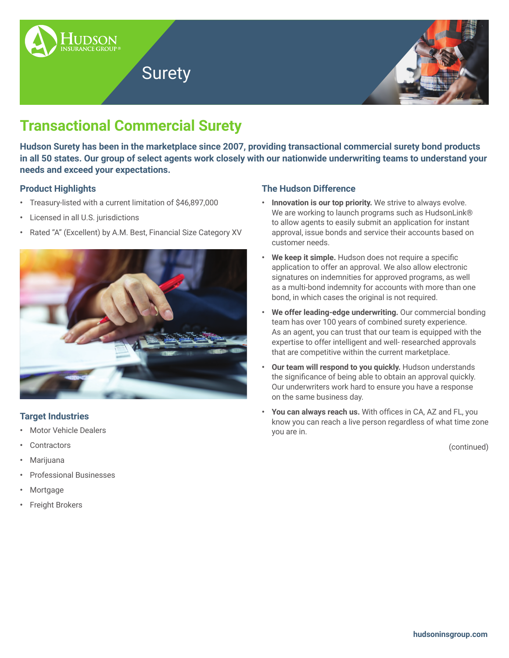

# Surety



# **Transactional Commercial Surety**

**Hudson Surety has been in the marketplace since 2007, providing transactional commercial surety bond products in all 50 states. Our group of select agents work closely with our nationwide underwriting teams to understand your needs and exceed your expectations.**

## **Product Highlights**

- **•** Treasury-listed with a current limitation of \$46,897,000
- **•** Licensed in all U.S. jurisdictions
- **•** Rated "A" (Excellent) by A.M. Best, Financial Size Category XV



## **Target Industries**

- **•** Motor Vehicle Dealers
- **•** Contractors
- **•** Marijuana
- **•** Professional Businesses
- **•** Mortgage
- **•** Freight Brokers

### **The Hudson Difference**

- **• Innovation is our top priority.** We strive to always evolve. We are working to launch programs such as HudsonLink® to allow agents to easily submit an application for instant approval, issue bonds and service their accounts based on customer needs.
- **• We keep it simple.** Hudson does not require a specific application to offer an approval. We also allow electronic signatures on indemnities for approved programs, as well as a multi-bond indemnity for accounts with more than one bond, in which cases the original is not required.
- **• We offer leading-edge underwriting.** Our commercial bonding team has over 100 years of combined surety experience. As an agent, you can trust that our team is equipped with the expertise to offer intelligent and well- researched approvals that are competitive within the current marketplace.
- **• Our team will respond to you quickly.** Hudson understands the significance of being able to obtain an approval quickly. Our underwriters work hard to ensure you have a response on the same business day.
- **• You can always reach us.** With offices in CA, AZ and FL, you know you can reach a live person regardless of what time zone you are in.

(continued)